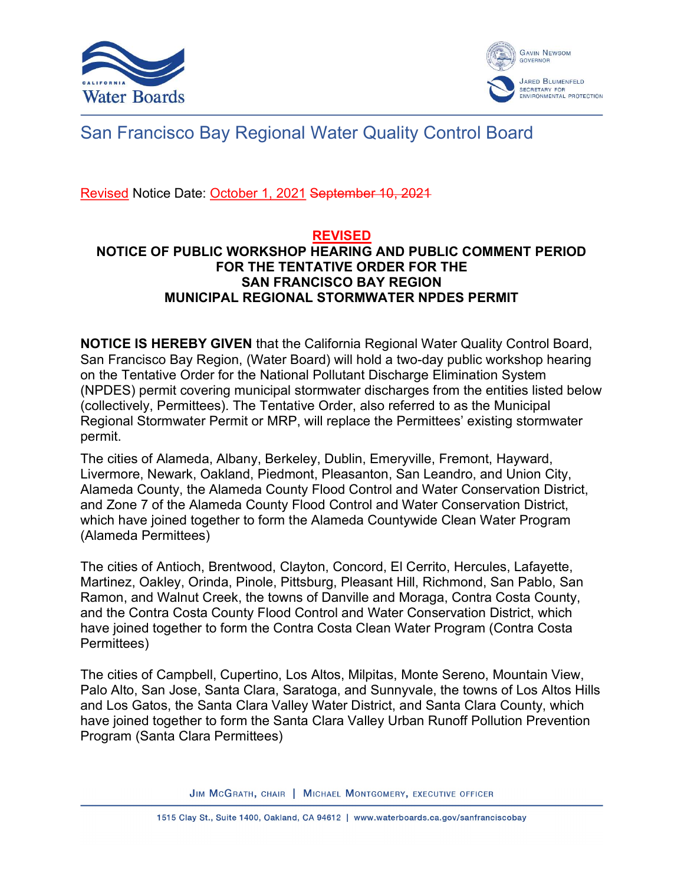



## San Francisco Bay Regional Water Quality Control Board

Revised Notice Date: October 1, 2021 September 10, 2021

## REVISED NOTICE OF PUBLIC WORKSHOP HEARING AND PUBLIC COMMENT PERIOD FOR THE TENTATIVE ORDER FOR THE SAN FRANCISCO BAY REGION MUNICIPAL REGIONAL STORMWATER NPDES PERMIT

NOTICE IS HEREBY GIVEN that the California Regional Water Quality Control Board, San Francisco Bay Region, (Water Board) will hold a two-day public workshop hearing on the Tentative Order for the National Pollutant Discharge Elimination System (NPDES) permit covering municipal stormwater discharges from the entities listed below (collectively, Permittees). The Tentative Order, also referred to as the Municipal Regional Stormwater Permit or MRP, will replace the Permittees' existing stormwater permit.

The cities of Alameda, Albany, Berkeley, Dublin, Emeryville, Fremont, Hayward, Livermore, Newark, Oakland, Piedmont, Pleasanton, San Leandro, and Union City, Alameda County, the Alameda County Flood Control and Water Conservation District, and Zone 7 of the Alameda County Flood Control and Water Conservation District, which have joined together to form the Alameda Countywide Clean Water Program (Alameda Permittees)

The cities of Antioch, Brentwood, Clayton, Concord, El Cerrito, Hercules, Lafayette, Martinez, Oakley, Orinda, Pinole, Pittsburg, Pleasant Hill, Richmond, San Pablo, San Ramon, and Walnut Creek, the towns of Danville and Moraga, Contra Costa County, and the Contra Costa County Flood Control and Water Conservation District, which have joined together to form the Contra Costa Clean Water Program (Contra Costa Permittees)

The cities of Campbell, Cupertino, Los Altos, Milpitas, Monte Sereno, Mountain View, Palo Alto, San Jose, Santa Clara, Saratoga, and Sunnyvale, the towns of Los Altos Hills and Los Gatos, the Santa Clara Valley Water District, and Santa Clara County, which have joined together to form the Santa Clara Valley Urban Runoff Pollution Prevention Program (Santa Clara Permittees)

JIM MCGRATH, CHAIR | MICHAEL MONTGOMERY, EXECUTIVE OFFICER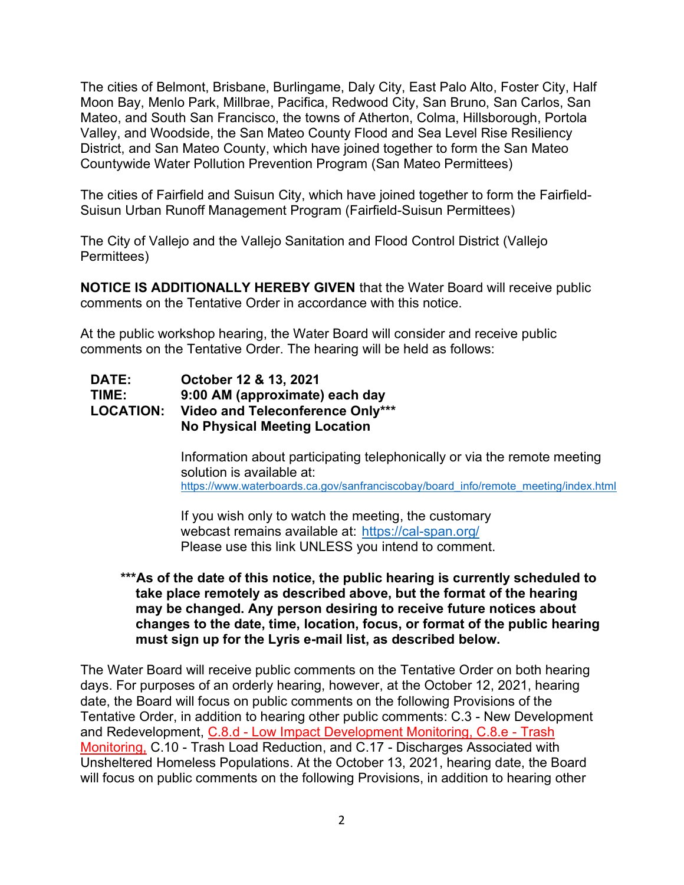The cities of Belmont, Brisbane, Burlingame, Daly City, East Palo Alto, Foster City, Half Moon Bay, Menlo Park, Millbrae, Pacifica, Redwood City, San Bruno, San Carlos, San Mateo, and South San Francisco, the towns of Atherton, Colma, Hillsborough, Portola Valley, and Woodside, the San Mateo County Flood and Sea Level Rise Resiliency District, and San Mateo County, which have joined together to form the San Mateo Countywide Water Pollution Prevention Program (San Mateo Permittees)

The cities of Fairfield and Suisun City, which have joined together to form the Fairfield-Suisun Urban Runoff Management Program (Fairfield-Suisun Permittees)

The City of Vallejo and the Vallejo Sanitation and Flood Control District (Vallejo Permittees)

NOTICE IS ADDITIONALLY HEREBY GIVEN that the Water Board will receive public comments on the Tentative Order in accordance with this notice.

At the public workshop hearing, the Water Board will consider and receive public comments on the Tentative Order. The hearing will be held as follows:

## DATE: October 12 & 13, 2021 TIME: 9:00 AM (approximate) each day LOCATION: Video and Teleconference Only\*\*\* No Physical Meeting Location

 Information about participating telephonically or via the remote meeting solution is available at: https://www.waterboards.ca.gov/sanfranciscobay/board\_info/remote\_meeting/index.html

 If you wish only to watch the meeting, the customary webcast remains available at: https://cal-span.org/ Please use this link UNLESS you intend to comment.

## \*\*\*As of the date of this notice, the public hearing is currently scheduled to take place remotely as described above, but the format of the hearing may be changed. Any person desiring to receive future notices about changes to the date, time, location, focus, or format of the public hearing must sign up for the Lyris e-mail list, as described below.

The Water Board will receive public comments on the Tentative Order on both hearing days. For purposes of an orderly hearing, however, at the October 12, 2021, hearing date, the Board will focus on public comments on the following Provisions of the Tentative Order, in addition to hearing other public comments: C.3 - New Development and Redevelopment, C.8.d - Low Impact Development Monitoring, C.8.e - Trash Monitoring, C.10 - Trash Load Reduction, and C.17 - Discharges Associated with Unsheltered Homeless Populations. At the October 13, 2021, hearing date, the Board will focus on public comments on the following Provisions, in addition to hearing other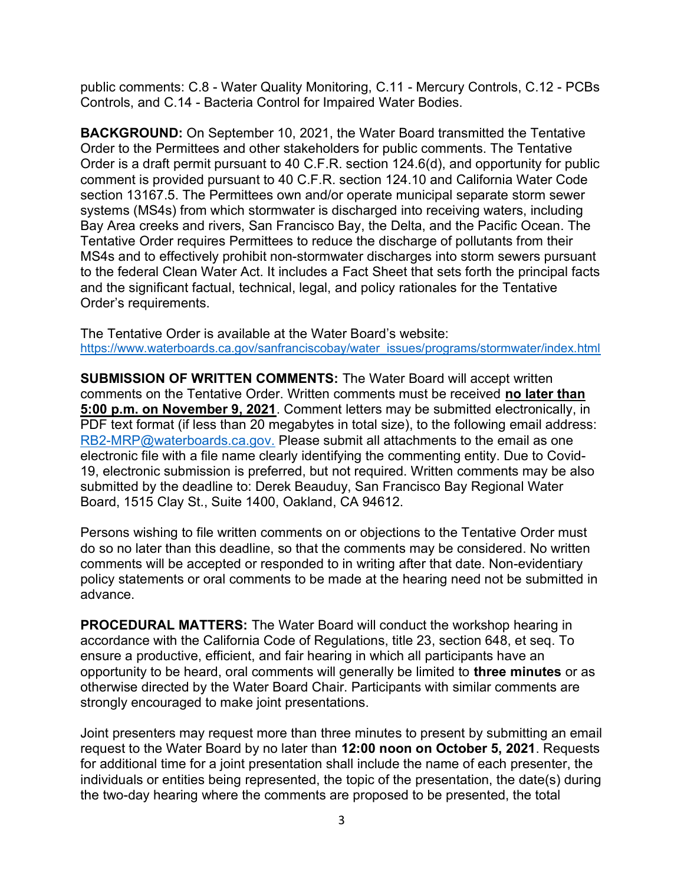public comments: C.8 - Water Quality Monitoring, C.11 - Mercury Controls, C.12 - PCBs Controls, and C.14 - Bacteria Control for Impaired Water Bodies.

BACKGROUND: On September 10, 2021, the Water Board transmitted the Tentative Order to the Permittees and other stakeholders for public comments. The Tentative Order is a draft permit pursuant to 40 C.F.R. section 124.6(d), and opportunity for public comment is provided pursuant to 40 C.F.R. section 124.10 and California Water Code section 13167.5. The Permittees own and/or operate municipal separate storm sewer systems (MS4s) from which stormwater is discharged into receiving waters, including Bay Area creeks and rivers, San Francisco Bay, the Delta, and the Pacific Ocean. The Tentative Order requires Permittees to reduce the discharge of pollutants from their MS4s and to effectively prohibit non-stormwater discharges into storm sewers pursuant to the federal Clean Water Act. It includes a Fact Sheet that sets forth the principal facts and the significant factual, technical, legal, and policy rationales for the Tentative Order's requirements.

The Tentative Order is available at the Water Board's website: https://www.waterboards.ca.gov/sanfranciscobay/water\_issues/programs/stormwater/index.html

SUBMISSION OF WRITTEN COMMENTS: The Water Board will accept written comments on the Tentative Order. Written comments must be received no later than 5:00 p.m. on November 9, 2021. Comment letters may be submitted electronically, in PDF text format (if less than 20 megabytes in total size), to the following email address: RB2-MRP@waterboards.ca.gov. Please submit all attachments to the email as one electronic file with a file name clearly identifying the commenting entity. Due to Covid-19, electronic submission is preferred, but not required. Written comments may be also submitted by the deadline to: Derek Beauduy, San Francisco Bay Regional Water Board, 1515 Clay St., Suite 1400, Oakland, CA 94612.

Persons wishing to file written comments on or objections to the Tentative Order must do so no later than this deadline, so that the comments may be considered. No written comments will be accepted or responded to in writing after that date. Non-evidentiary policy statements or oral comments to be made at the hearing need not be submitted in advance.

PROCEDURAL MATTERS: The Water Board will conduct the workshop hearing in accordance with the California Code of Regulations, title 23, section 648, et seq. To ensure a productive, efficient, and fair hearing in which all participants have an opportunity to be heard, oral comments will generally be limited to three minutes or as otherwise directed by the Water Board Chair. Participants with similar comments are strongly encouraged to make joint presentations.

Joint presenters may request more than three minutes to present by submitting an email request to the Water Board by no later than 12:00 noon on October 5, 2021. Requests for additional time for a joint presentation shall include the name of each presenter, the individuals or entities being represented, the topic of the presentation, the date(s) during the two-day hearing where the comments are proposed to be presented, the total